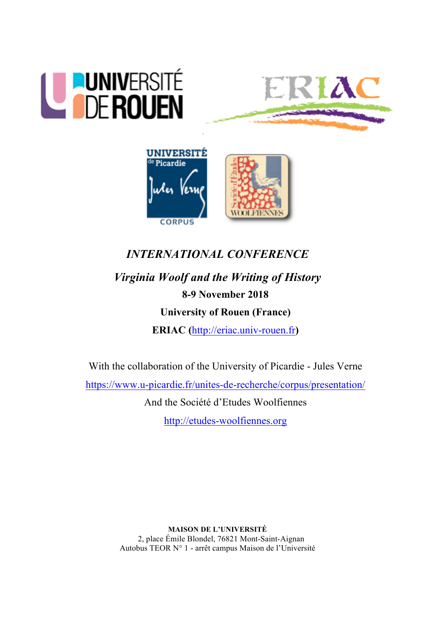





# *INTERNATIONAL CONFERENCE Virginia Woolf and the Writing of History* **8-9 November 2018**

## **University of Rouen (France)**

**ERIAC (**http://eriac.univ-rouen.fr**)**

With the collaboration of the University of Picardie - Jules Verne

https://www.u-picardie.fr/unites-de-recherche/corpus/presentation/

And the Société d'Etudes Woolfiennes

http://etudes-woolfiennes.org

**MAISON DE L'UNIVERSITÉ** 2, place Émile Blondel, 76821 Mont-Saint-Aignan Autobus TEOR N° 1 - arrêt campus Maison de l'Université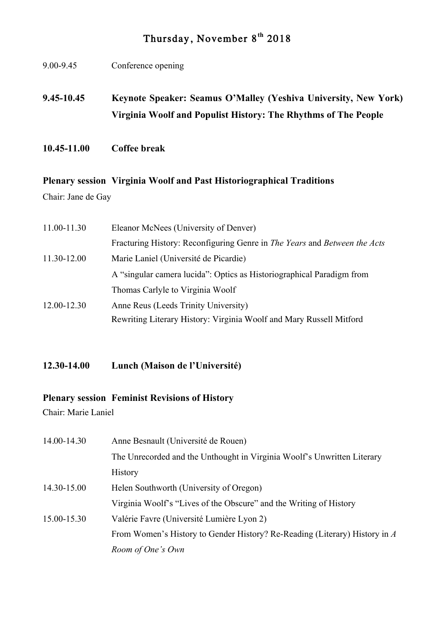## Thursday, November 8**th** 2018

- 9.00-9.45 Conference opening **9.45-10.45 Keynote Speaker: Seamus O'Malley (Yeshiva University, New York) Virginia Woolf and Populist History: The Rhythms of The People**
- **10.45-11.00 Coffee break**

## **Plenary session Virginia Woolf and Past Historiographical Traditions**

Chair: Jane de Gay

| 11.00-11.30 | Eleanor McNees (University of Denver)                                                   |
|-------------|-----------------------------------------------------------------------------------------|
|             | Fracturing History: Reconfiguring Genre in <i>The Years</i> and <i>Between the Acts</i> |
| 11.30-12.00 | Marie Laniel (Université de Picardie)                                                   |
|             | A "singular camera lucida": Optics as Historiographical Paradigm from                   |
|             | Thomas Carlyle to Virginia Woolf                                                        |
| 12.00-12.30 | Anne Reus (Leeds Trinity University)                                                    |
|             | Rewriting Literary History: Virginia Woolf and Mary Russell Mitford                     |

**12.30-14.00 Lunch (Maison de l'Université)**

## **Plenary session Feminist Revisions of History**

Chair: Marie Laniel

| 14.00-14.30 | Anne Besnault (Université de Rouen)                                        |
|-------------|----------------------------------------------------------------------------|
|             | The Unrecorded and the Unthought in Virginia Woolf's Unwritten Literary    |
|             | <b>History</b>                                                             |
| 14.30-15.00 | Helen Southworth (University of Oregon)                                    |
|             | Virginia Woolf's "Lives of the Obscure" and the Writing of History         |
| 15.00-15.30 | Valérie Favre (Université Lumière Lyon 2)                                  |
|             | From Women's History to Gender History? Re-Reading (Literary) History in A |
|             | Room of One's Own                                                          |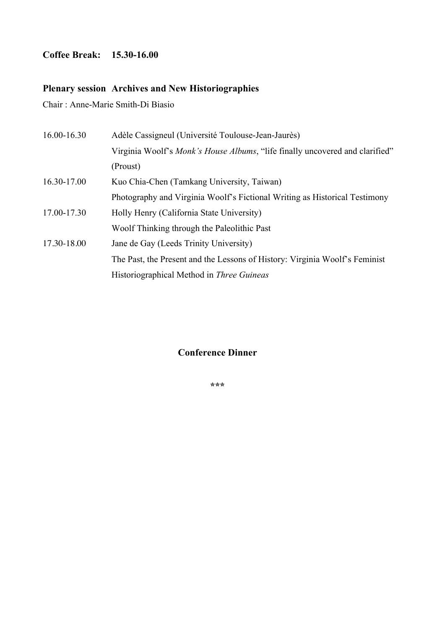## **Coffee Break: 15.30-16.00**

## **Plenary session Archives and New Historiographies**

Chair : Anne-Marie Smith-Di Biasio

| 16.00-16.30 | Adèle Cassigneul (Université Toulouse-Jean-Jaurès)                                   |
|-------------|--------------------------------------------------------------------------------------|
|             | Virginia Woolf's <i>Monk's House Albums</i> , "life finally uncovered and clarified" |
|             | (Proust)                                                                             |
| 16.30-17.00 | Kuo Chia-Chen (Tamkang University, Taiwan)                                           |
|             | Photography and Virginia Woolf's Fictional Writing as Historical Testimony           |
| 17.00-17.30 | Holly Henry (California State University)                                            |
|             | Woolf Thinking through the Paleolithic Past                                          |
| 17.30-18.00 | Jane de Gay (Leeds Trinity University)                                               |
|             | The Past, the Present and the Lessons of History: Virginia Woolf's Feminist          |
|             | Historiographical Method in <i>Three Guineas</i>                                     |

## **Conference Dinner**

**\*\*\***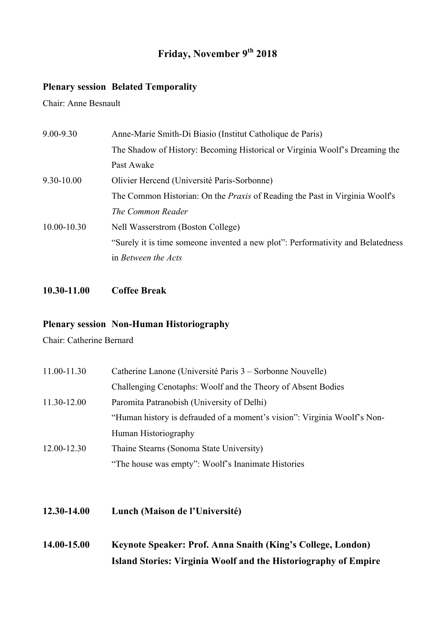## **Friday, November 9th 2018**

#### **Plenary session Belated Temporality**

Chair: Anne Besnault

| $9.00 - 9.30$   | Anne-Marie Smith-Di Biasio (Institut Catholique de Paris)                          |
|-----------------|------------------------------------------------------------------------------------|
|                 | The Shadow of History: Becoming Historical or Virginia Woolf's Dreaming the        |
|                 | Past Awake                                                                         |
| $9.30 - 10.00$  | Olivier Hercend (Université Paris-Sorbonne)                                        |
|                 | The Common Historian: On the <i>Praxis</i> of Reading the Past in Virginia Woolf's |
|                 | The Common Reader                                                                  |
| $10.00 - 10.30$ | Nell Wasserstrom (Boston College)                                                  |
|                 | "Surely it is time someone invented a new plot": Performativity and Belatedness    |
|                 | in Between the Acts                                                                |
|                 |                                                                                    |

#### **10.30-11.00 Coffee Break**

## **Plenary session Non-Human Historiography**

Chair: Catherine Bernard

| 11.00-11.30 | Catherine Lanone (Université Paris 3 – Sorbonne Nouvelle)                |
|-------------|--------------------------------------------------------------------------|
|             | Challenging Cenotaphs: Woolf and the Theory of Absent Bodies             |
| 11.30-12.00 | Paromita Patranobish (University of Delhi)                               |
|             | "Human history is defrauded of a moment's vision": Virginia Woolf's Non- |
|             | Human Historiography                                                     |
| 12.00-12.30 | Thaine Stearns (Sonoma State University)                                 |
|             | "The house was empty": Woolf's Inanimate Histories                       |

- **12.30-14.00 Lunch (Maison de l'Université)**
- **14.00-15.00 Keynote Speaker: Prof. Anna Snaith (King's College, London) Island Stories: Virginia Woolf and the Historiography of Empire**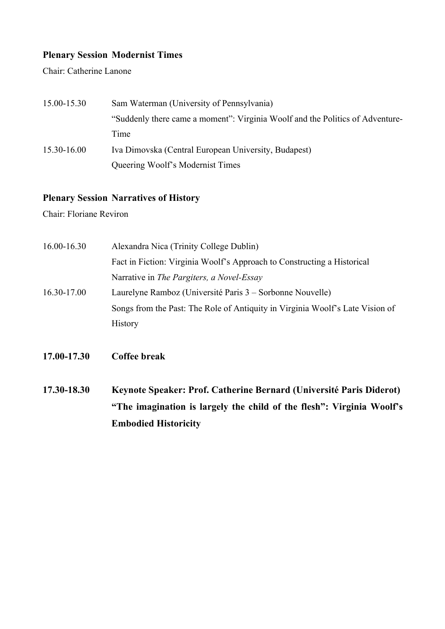## **Plenary Session Modernist Times**

Chair: Catherine Lanone

| 15.00-15.30 | Sam Waterman (University of Pennsylvania)                                     |
|-------------|-------------------------------------------------------------------------------|
|             | "Suddenly there came a moment": Virginia Woolf and the Politics of Adventure- |
|             | Time                                                                          |
| 15.30-16.00 | Iva Dimovska (Central European University, Budapest)                          |
|             | Queering Woolf's Modernist Times                                              |

#### **Plenary Session Narratives of History**

Chair: Floriane Reviron

| $16.00 - 16.30$ | Alexandra Nica (Trinity College Dublin)                                       |
|-----------------|-------------------------------------------------------------------------------|
|                 | Fact in Fiction: Virginia Woolf's Approach to Constructing a Historical       |
|                 | Narrative in The Pargiters, a Novel-Essay                                     |
| 16.30-17.00     | Laurelyne Ramboz (Université Paris 3 – Sorbonne Nouvelle)                     |
|                 | Songs from the Past: The Role of Antiquity in Virginia Woolf's Late Vision of |
|                 | <b>History</b>                                                                |
|                 |                                                                               |
|                 |                                                                               |

- **17.00-17.30 Coffee break**
- **17.30-18.30 Keynote Speaker: Prof. Catherine Bernard (Université Paris Diderot) "The imagination is largely the child of the flesh": Virginia Woolf's Embodied Historicity**